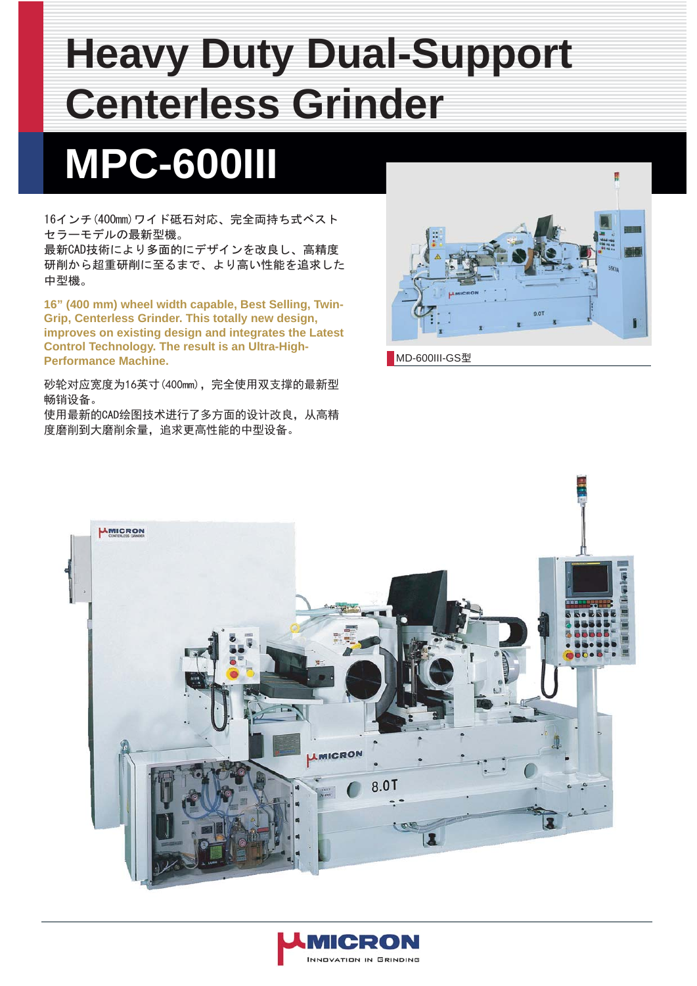## **Heavy Duty Dual-Support Centerless Grinder**

## **MPC-600III**

16インチ(400mm)ワイド砥石対応、完全両持ち式ベスト セラーモデルの最新型機。

最新CAD技術により多面的にデザインを改良し、高精度 研削から超重研削に至るまで、より高い性能を追求した 中型機。

**16" (400 mm) wheel width capable, Best Selling, Twin-Grip, Centerless Grinder. This totally new design, improves on existing design and integrates the Latest Control Technology. The result is an Ultra-High-Performance Machine.** 

砂轮对应宽度为16英寸(400mm),完全使用双支撑的最新型 畅销设备。

使用最新的CAD绘图技术进行了多方面的设计改良,从高精 度磨削到大磨削余量,追求更高性能的中型设备。